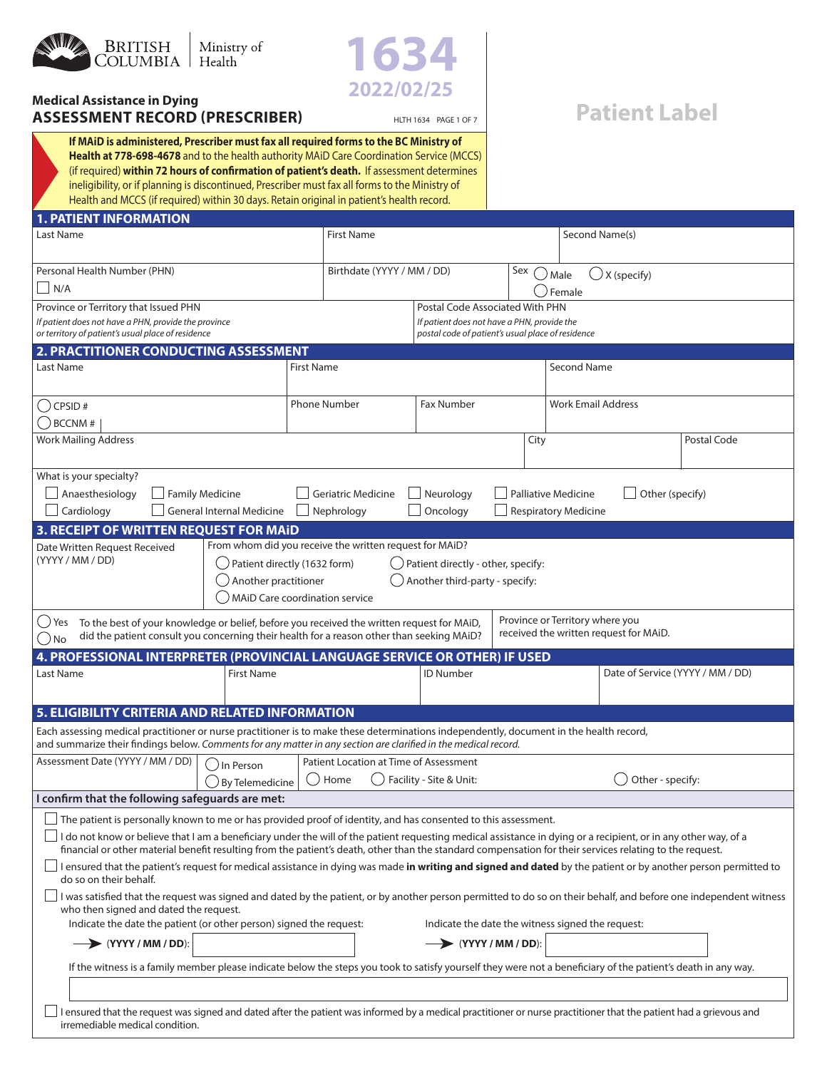

**ASSESSMENT RECORD (PRESCRIBER)**

**2022/02/25 Medical Assistance in Dying**



# HLTH 1634 PAGE 1 OF 7 **Patient Label**

**1. PATIENT INFORMATION If MAiD is administered, Prescriber must fax all required forms to the BC Ministry of Health at 778-698-4678** and to the health authority MAiD Care Coordination Service (MCCS) (if required) **within 72 hours of confirmation of patient's death.** If assessment determines ineligibility, or if planning is discontinued, Prescriber must fax all forms to the Ministry of Health and MCCS (if required) within 30 days. Retain original in patient's health record.

| <b>1. PATIENT INFURNATION</b>                                                                                                                                                                                                                                                                                                      |                                                         |                                                   |                            |                                                                           |                                  |  |  |
|------------------------------------------------------------------------------------------------------------------------------------------------------------------------------------------------------------------------------------------------------------------------------------------------------------------------------------|---------------------------------------------------------|---------------------------------------------------|----------------------------|---------------------------------------------------------------------------|----------------------------------|--|--|
| Last Name                                                                                                                                                                                                                                                                                                                          | <b>First Name</b>                                       |                                                   |                            |                                                                           | Second Name(s)                   |  |  |
| Personal Health Number (PHN)                                                                                                                                                                                                                                                                                                       |                                                         | Birthdate (YYYY / MM / DD)<br>Sex<br>. ) Male     |                            |                                                                           | $\bigcup$ X (specify)            |  |  |
| N/A                                                                                                                                                                                                                                                                                                                                |                                                         |                                                   |                            |                                                                           | Female                           |  |  |
| Province or Territory that Issued PHN                                                                                                                                                                                                                                                                                              |                                                         | Postal Code Associated With PHN                   |                            |                                                                           |                                  |  |  |
| If patient does not have a PHN, provide the province                                                                                                                                                                                                                                                                               |                                                         | If patient does not have a PHN, provide the       |                            |                                                                           |                                  |  |  |
| or territory of patient's usual place of residence                                                                                                                                                                                                                                                                                 |                                                         | postal code of patient's usual place of residence |                            |                                                                           |                                  |  |  |
| 2. PRACTITIONER CONDUCTING ASSESSMENT                                                                                                                                                                                                                                                                                              |                                                         |                                                   |                            |                                                                           |                                  |  |  |
| Last Name                                                                                                                                                                                                                                                                                                                          | <b>First Name</b>                                       |                                                   |                            |                                                                           | Second Name                      |  |  |
| $\big($ ) CPSID #                                                                                                                                                                                                                                                                                                                  | <b>Phone Number</b>                                     | <b>Fax Number</b>                                 |                            | <b>Work Email Address</b>                                                 |                                  |  |  |
| $\bigcup$ BCCNM #                                                                                                                                                                                                                                                                                                                  |                                                         |                                                   |                            |                                                                           |                                  |  |  |
| <b>Work Mailing Address</b>                                                                                                                                                                                                                                                                                                        |                                                         |                                                   | City                       |                                                                           | Postal Code                      |  |  |
| What is your specialty?                                                                                                                                                                                                                                                                                                            |                                                         |                                                   |                            |                                                                           |                                  |  |  |
| Anaesthesiology<br><b>Family Medicine</b>                                                                                                                                                                                                                                                                                          | <b>Geriatric Medicine</b>                               | Neurology                                         | <b>Palliative Medicine</b> |                                                                           | Other (specify)                  |  |  |
| Cardiology<br><b>General Internal Medicine</b>                                                                                                                                                                                                                                                                                     | Nephrology                                              | Oncology                                          |                            | <b>Respiratory Medicine</b>                                               |                                  |  |  |
| 3. RECEIPT OF WRITTEN REQUEST FOR MAID                                                                                                                                                                                                                                                                                             |                                                         |                                                   |                            |                                                                           |                                  |  |  |
| Date Written Request Received                                                                                                                                                                                                                                                                                                      | From whom did you receive the written request for MAiD? |                                                   |                            |                                                                           |                                  |  |  |
| (YYYY / MM / DD)<br>) Patient directly (1632 form)                                                                                                                                                                                                                                                                                 |                                                         | Patient directly - other, specify:                |                            |                                                                           |                                  |  |  |
| () Another practitioner                                                                                                                                                                                                                                                                                                            |                                                         | Another third-party - specify:                    |                            |                                                                           |                                  |  |  |
|                                                                                                                                                                                                                                                                                                                                    |                                                         |                                                   |                            |                                                                           |                                  |  |  |
|                                                                                                                                                                                                                                                                                                                                    | () MAID Care coordination service                       |                                                   |                            |                                                                           |                                  |  |  |
| To the best of your knowledge or belief, before you received the written request for MAiD,<br>$\cup$ Yes<br>did the patient consult you concerning their health for a reason other than seeking MAiD?<br>( ) No                                                                                                                    |                                                         |                                                   |                            | Province or Territory where you<br>received the written request for MAiD. |                                  |  |  |
| 4. PROFESSIONAL INTERPRETER (PROVINCIAL LANGUAGE SERVICE OR OTHER) IF USED                                                                                                                                                                                                                                                         |                                                         |                                                   |                            |                                                                           |                                  |  |  |
| Last Name<br><b>First Name</b>                                                                                                                                                                                                                                                                                                     |                                                         | <b>ID Number</b>                                  |                            |                                                                           | Date of Service (YYYY / MM / DD) |  |  |
|                                                                                                                                                                                                                                                                                                                                    |                                                         |                                                   |                            |                                                                           |                                  |  |  |
| 5. ELIGIBILITY CRITERIA AND RELATED INFORMATION                                                                                                                                                                                                                                                                                    |                                                         |                                                   |                            |                                                                           |                                  |  |  |
|                                                                                                                                                                                                                                                                                                                                    |                                                         |                                                   |                            |                                                                           |                                  |  |  |
| Each assessing medical practitioner or nurse practitioner is to make these determinations independently, document in the health record,<br>and summarize their findings below. Comments for any matter in any section are clarified in the medical record.                                                                         |                                                         |                                                   |                            |                                                                           |                                  |  |  |
| Assessment Date (YYYY / MM / DD)<br>In Person                                                                                                                                                                                                                                                                                      | Patient Location at Time of Assessment                  |                                                   |                            |                                                                           |                                  |  |  |
| () By Telemedicine                                                                                                                                                                                                                                                                                                                 | $($ )<br>Home                                           | Facility - Site & Unit:                           |                            |                                                                           | Other - specify:                 |  |  |
| I confirm that the following safeguards are met:                                                                                                                                                                                                                                                                                   |                                                         |                                                   |                            |                                                                           |                                  |  |  |
| The patient is personally known to me or has provided proof of identity, and has consented to this assessment.                                                                                                                                                                                                                     |                                                         |                                                   |                            |                                                                           |                                  |  |  |
| $\Box$ I do not know or believe that I am a beneficiary under the will of the patient requesting medical assistance in dying or a recipient, or in any other way, of a<br>financial or other material benefit resulting from the patient's death, other than the standard compensation for their services relating to the request. |                                                         |                                                   |                            |                                                                           |                                  |  |  |
| I ensured that the patient's request for medical assistance in dying was made in writing and signed and dated by the patient or by another person permitted to<br>do so on their behalf.                                                                                                                                           |                                                         |                                                   |                            |                                                                           |                                  |  |  |
| I was satisfied that the request was signed and dated by the patient, or by another person permitted to do so on their behalf, and before one independent witness<br>who then signed and dated the request.                                                                                                                        |                                                         |                                                   |                            |                                                                           |                                  |  |  |
| Indicate the date the patient (or other person) signed the request:                                                                                                                                                                                                                                                                |                                                         | Indicate the date the witness signed the request: |                            |                                                                           |                                  |  |  |
| $\rightarrow$ (YYYY / MM / DD):                                                                                                                                                                                                                                                                                                    |                                                         | $\rightarrow$ (YYYY / MM / DD):                   |                            |                                                                           |                                  |  |  |
| If the witness is a family member please indicate below the steps you took to satisfy yourself they were not a beneficiary of the patient's death in any way.                                                                                                                                                                      |                                                         |                                                   |                            |                                                                           |                                  |  |  |
|                                                                                                                                                                                                                                                                                                                                    |                                                         |                                                   |                            |                                                                           |                                  |  |  |
| I ensured that the request was signed and dated after the patient was informed by a medical practitioner or nurse practitioner that the patient had a grievous and<br>irremediable medical condition.                                                                                                                              |                                                         |                                                   |                            |                                                                           |                                  |  |  |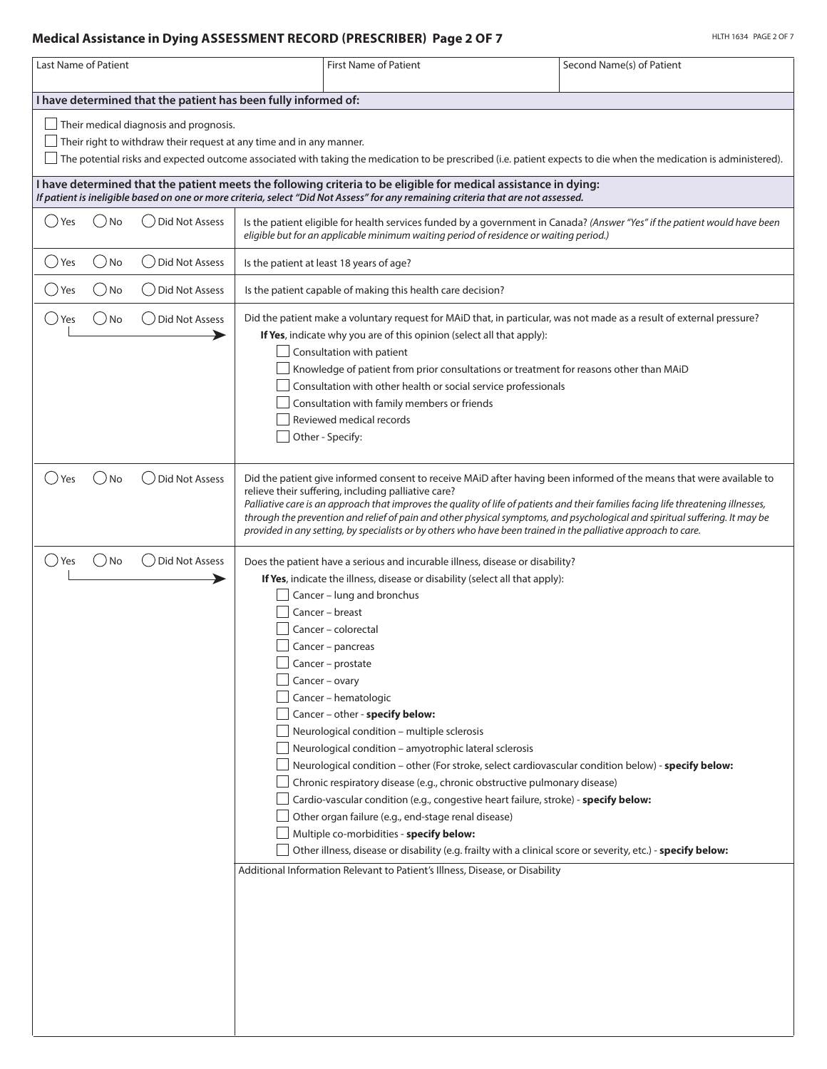## **Medical Assistance in Dying ASSESSMENT RECORD (PRESCRIBER) Page 2 OF 7**

| Last Name of Patient                                                                                                                                                                                                                                                                                                                                   |                       |                                                                                                                                                                                                                                                                                                                                                                                                                                                                                                                                                                    | <b>First Name of Patient</b>                                                                                                                                                                                                                                                                                                                                                                                                                                                                                                                                                                                                                                                                                                                                                                                                 | Second Name(s) of Patient                                                                                                                                                                                           |  |  |  |  |
|--------------------------------------------------------------------------------------------------------------------------------------------------------------------------------------------------------------------------------------------------------------------------------------------------------------------------------------------------------|-----------------------|--------------------------------------------------------------------------------------------------------------------------------------------------------------------------------------------------------------------------------------------------------------------------------------------------------------------------------------------------------------------------------------------------------------------------------------------------------------------------------------------------------------------------------------------------------------------|------------------------------------------------------------------------------------------------------------------------------------------------------------------------------------------------------------------------------------------------------------------------------------------------------------------------------------------------------------------------------------------------------------------------------------------------------------------------------------------------------------------------------------------------------------------------------------------------------------------------------------------------------------------------------------------------------------------------------------------------------------------------------------------------------------------------------|---------------------------------------------------------------------------------------------------------------------------------------------------------------------------------------------------------------------|--|--|--|--|
|                                                                                                                                                                                                                                                                                                                                                        |                       |                                                                                                                                                                                                                                                                                                                                                                                                                                                                                                                                                                    |                                                                                                                                                                                                                                                                                                                                                                                                                                                                                                                                                                                                                                                                                                                                                                                                                              |                                                                                                                                                                                                                     |  |  |  |  |
| I have determined that the patient has been fully informed of:<br>Their medical diagnosis and prognosis.<br>Their right to withdraw their request at any time and in any manner.<br>The potential risks and expected outcome associated with taking the medication to be prescribed (i.e. patient expects to die when the medication is administered). |                       |                                                                                                                                                                                                                                                                                                                                                                                                                                                                                                                                                                    |                                                                                                                                                                                                                                                                                                                                                                                                                                                                                                                                                                                                                                                                                                                                                                                                                              |                                                                                                                                                                                                                     |  |  |  |  |
| I have determined that the patient meets the following criteria to be eligible for medical assistance in dying:<br>If patient is ineligible based on one or more criteria, select "Did Not Assess" for any remaining criteria that are not assessed.                                                                                                   |                       |                                                                                                                                                                                                                                                                                                                                                                                                                                                                                                                                                                    |                                                                                                                                                                                                                                                                                                                                                                                                                                                                                                                                                                                                                                                                                                                                                                                                                              |                                                                                                                                                                                                                     |  |  |  |  |
| No<br>Yes                                                                                                                                                                                                                                                                                                                                              | <b>Did Not Assess</b> | Is the patient eligible for health services funded by a government in Canada? (Answer "Yes" if the patient would have been<br>eligible but for an applicable minimum waiting period of residence or waiting period.)                                                                                                                                                                                                                                                                                                                                               |                                                                                                                                                                                                                                                                                                                                                                                                                                                                                                                                                                                                                                                                                                                                                                                                                              |                                                                                                                                                                                                                     |  |  |  |  |
| y Yes<br>. ) No                                                                                                                                                                                                                                                                                                                                        | <b>Did Not Assess</b> |                                                                                                                                                                                                                                                                                                                                                                                                                                                                                                                                                                    | Is the patient at least 18 years of age?                                                                                                                                                                                                                                                                                                                                                                                                                                                                                                                                                                                                                                                                                                                                                                                     |                                                                                                                                                                                                                     |  |  |  |  |
| $)$ No<br>. ) Yes                                                                                                                                                                                                                                                                                                                                      | ( ) Did Not Assess    |                                                                                                                                                                                                                                                                                                                                                                                                                                                                                                                                                                    | Is the patient capable of making this health care decision?                                                                                                                                                                                                                                                                                                                                                                                                                                                                                                                                                                                                                                                                                                                                                                  |                                                                                                                                                                                                                     |  |  |  |  |
| ( ) Yes<br>. ) No                                                                                                                                                                                                                                                                                                                                      | <b>Did Not Assess</b> | Did the patient make a voluntary request for MAiD that, in particular, was not made as a result of external pressure?<br>If Yes, indicate why you are of this opinion (select all that apply):<br>Consultation with patient<br>$\Box$ Knowledge of patient from prior consultations or treatment for reasons other than MAiD<br>Consultation with other health or social service professionals<br>Consultation with family members or friends<br>Reviewed medical records<br>Other - Specify:                                                                      |                                                                                                                                                                                                                                                                                                                                                                                                                                                                                                                                                                                                                                                                                                                                                                                                                              |                                                                                                                                                                                                                     |  |  |  |  |
| ( )No<br>. )Yes                                                                                                                                                                                                                                                                                                                                        | Did Not Assess        | Did the patient give informed consent to receive MAiD after having been informed of the means that were available to<br>relieve their suffering, including palliative care?<br>Palliative care is an approach that improves the quality of life of patients and their families facing life threatening illnesses,<br>through the prevention and relief of pain and other physical symptoms, and psychological and spiritual suffering. It may be<br>provided in any setting, by specialists or by others who have been trained in the palliative approach to care. |                                                                                                                                                                                                                                                                                                                                                                                                                                                                                                                                                                                                                                                                                                                                                                                                                              |                                                                                                                                                                                                                     |  |  |  |  |
| $()$ No<br>() Yes                                                                                                                                                                                                                                                                                                                                      | Did Not Assess        |                                                                                                                                                                                                                                                                                                                                                                                                                                                                                                                                                                    | Does the patient have a serious and incurable illness, disease or disability?<br>If Yes, indicate the illness, disease or disability (select all that apply):<br>Cancer - lung and bronchus<br>Cancer - breast<br>Cancer - colorectal<br>Cancer - pancreas<br>Cancer – prostate<br>Cancer - ovary<br>Cancer - hematologic<br>Cancer - other - specify below:<br>Neurological condition - multiple sclerosis<br>Neurological condition - amyotrophic lateral sclerosis<br>Chronic respiratory disease (e.g., chronic obstructive pulmonary disease)<br>Cardio-vascular condition (e.g., congestive heart failure, stroke) - specify below:<br>Other organ failure (e.g., end-stage renal disease)<br>Multiple co-morbidities - specify below:<br>Additional Information Relevant to Patient's Illness, Disease, or Disability | Neurological condition - other (For stroke, select cardiovascular condition below) - specify below:<br>Other illness, disease or disability (e.g. frailty with a clinical score or severity, etc.) - specify below: |  |  |  |  |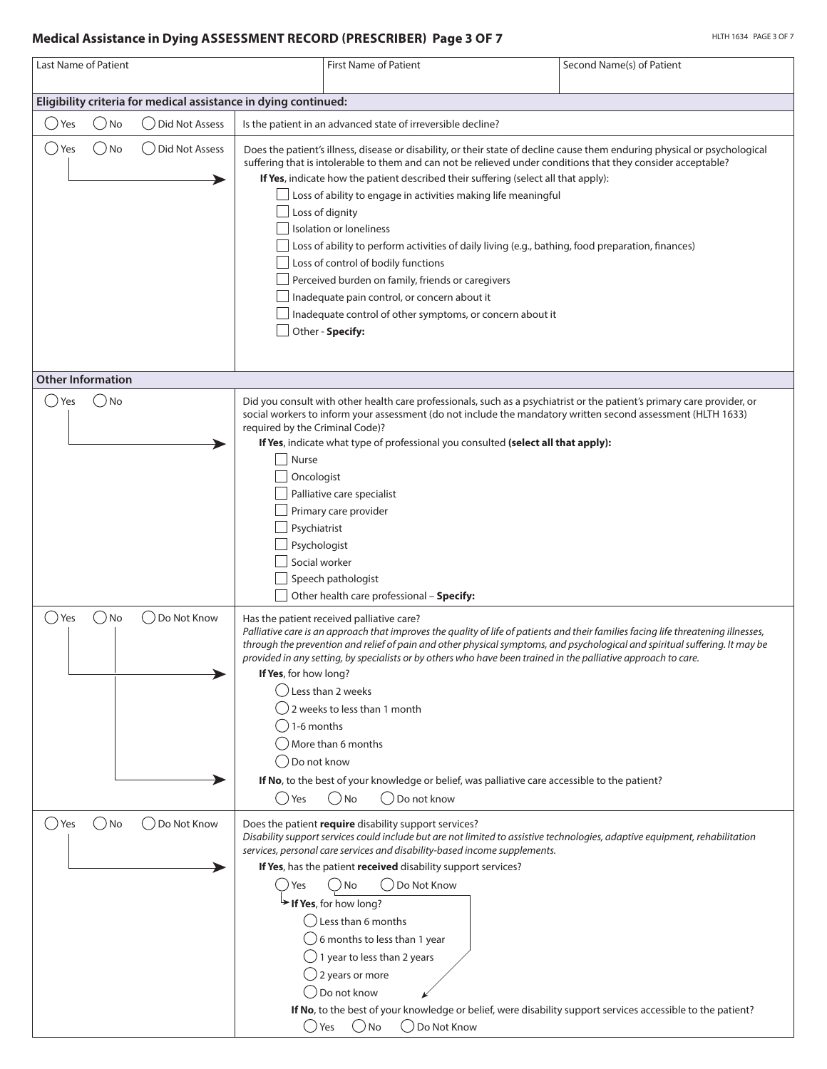#### **Medical Assistance in Dying ASSESSMENT RECORD (PRESCRIBER) Page 3 OF 7**

| <b>Last Name of Patient</b>                                     |                       |                                                                                                         | <b>First Name of Patient</b>                                                                                                                                                                                                                                                                                                                                                                                                                                                                                                                                                                                                                                                                                                                                                                 | Second Name(s) of Patient |  |  |
|-----------------------------------------------------------------|-----------------------|---------------------------------------------------------------------------------------------------------|----------------------------------------------------------------------------------------------------------------------------------------------------------------------------------------------------------------------------------------------------------------------------------------------------------------------------------------------------------------------------------------------------------------------------------------------------------------------------------------------------------------------------------------------------------------------------------------------------------------------------------------------------------------------------------------------------------------------------------------------------------------------------------------------|---------------------------|--|--|
| Eligibility criteria for medical assistance in dying continued: |                       |                                                                                                         |                                                                                                                                                                                                                                                                                                                                                                                                                                                                                                                                                                                                                                                                                                                                                                                              |                           |  |  |
| $\bigcirc$ No<br>yes (                                          | Did Not Assess        |                                                                                                         | Is the patient in an advanced state of irreversible decline?                                                                                                                                                                                                                                                                                                                                                                                                                                                                                                                                                                                                                                                                                                                                 |                           |  |  |
| $()$ No<br>() Yes                                               | <b>Did Not Assess</b> |                                                                                                         | Does the patient's illness, disease or disability, or their state of decline cause them enduring physical or psychological<br>suffering that is intolerable to them and can not be relieved under conditions that they consider acceptable?<br>If Yes, indicate how the patient described their suffering (select all that apply):<br>$\perp$ Loss of ability to engage in activities making life meaningful<br>Loss of dignity<br>Isolation or loneliness<br>Loss of ability to perform activities of daily living (e.g., bathing, food preparation, finances)<br>Loss of control of bodily functions<br>Perceived burden on family, friends or caregivers<br>Inadequate pain control, or concern about it<br>Inadequate control of other symptoms, or concern about it<br>Other - Specify: |                           |  |  |
| <b>Other Information</b>                                        |                       |                                                                                                         |                                                                                                                                                                                                                                                                                                                                                                                                                                                                                                                                                                                                                                                                                                                                                                                              |                           |  |  |
| ( ) No<br>Yes                                                   |                       | required by the Criminal Code)?<br>Nurse<br>Oncologist<br>Psychiatrist<br>Psychologist<br>Social worker | Did you consult with other health care professionals, such as a psychiatrist or the patient's primary care provider, or<br>social workers to inform your assessment (do not include the mandatory written second assessment (HLTH 1633)<br>If Yes, indicate what type of professional you consulted (select all that apply):<br>Palliative care specialist<br>Primary care provider<br>Speech pathologist<br>Other health care professional - Specify:                                                                                                                                                                                                                                                                                                                                       |                           |  |  |
| $\bigcirc$ No<br>( ) Yes                                        | Do Not Know           | If Yes, for how long?<br>$( ) 1-6$ months<br>◯ Do not know<br>() Yes                                    | Has the patient received palliative care?<br>Palliative care is an approach that improves the quality of life of patients and their families facing life threatening illnesses,<br>through the prevention and relief of pain and other physical symptoms, and psychological and spiritual suffering. It may be<br>provided in any setting, by specialists or by others who have been trained in the palliative approach to care.<br>○ Less than 2 weeks<br>2 weeks to less than 1 month<br>More than 6 months<br>If No, to the best of your knowledge or belief, was palliative care accessible to the patient?<br>( )No<br>( ) Do not know                                                                                                                                                  |                           |  |  |
| $()$ No<br>( ) Yes                                              | Do Not Know           | Yes<br>() Yes                                                                                           | Does the patient require disability support services?<br>Disability support services could include but are not limited to assistive technologies, adaptive equipment, rehabilitation<br>services, personal care services and disability-based income supplements.<br>If Yes, has the patient received disability support services?<br>() Do Not Know<br>) No<br>> If Yes, for how long?<br>() Less than 6 months<br>6 months to less than 1 year<br>$\bigcup$ 1 year to less than 2 years<br>$\bigcirc$ 2 years or more<br>Do not know<br>If No, to the best of your knowledge or belief, were disability support services accessible to the patient?<br>$\bigcirc$ No<br>◯ Do Not Know                                                                                                      |                           |  |  |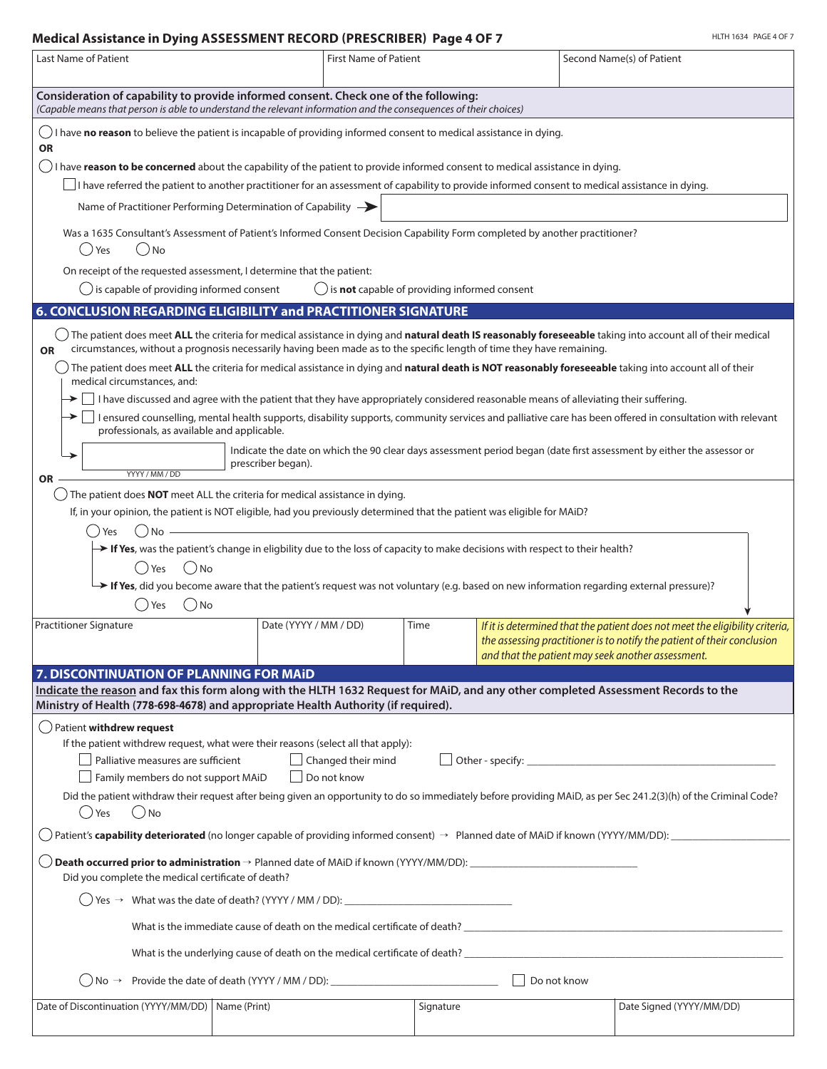## **Medical Assistance in Dying ASSESSMENT RECORD (PRESCRIBER) Page 4 OF 7**

| Last Name of Patient                                                                                                                                                                                                                                                                                      | <b>First Name of Patient</b><br>Second Name(s) of Patient                                                                    |                                                                |           |                    |  |                                                                                                                                                                                                              |  |  |
|-----------------------------------------------------------------------------------------------------------------------------------------------------------------------------------------------------------------------------------------------------------------------------------------------------------|------------------------------------------------------------------------------------------------------------------------------|----------------------------------------------------------------|-----------|--------------------|--|--------------------------------------------------------------------------------------------------------------------------------------------------------------------------------------------------------------|--|--|
| Consideration of capability to provide informed consent. Check one of the following:<br>(Capable means that person is able to understand the relevant information and the consequences of their choices)                                                                                                  |                                                                                                                              |                                                                |           |                    |  |                                                                                                                                                                                                              |  |  |
| I have no reason to believe the patient is incapable of providing informed consent to medical assistance in dying.<br><b>OR</b>                                                                                                                                                                           |                                                                                                                              |                                                                |           |                    |  |                                                                                                                                                                                                              |  |  |
| $\bigcirc$ I have reason to be concerned about the capability of the patient to provide informed consent to medical assistance in dying.                                                                                                                                                                  |                                                                                                                              |                                                                |           |                    |  |                                                                                                                                                                                                              |  |  |
| I have referred the patient to another practitioner for an assessment of capability to provide informed consent to medical assistance in dying.                                                                                                                                                           |                                                                                                                              |                                                                |           |                    |  |                                                                                                                                                                                                              |  |  |
| Name of Practitioner Performing Determination of Capability -                                                                                                                                                                                                                                             |                                                                                                                              |                                                                |           |                    |  |                                                                                                                                                                                                              |  |  |
| () Yes<br>( )No                                                                                                                                                                                                                                                                                           | Was a 1635 Consultant's Assessment of Patient's Informed Consent Decision Capability Form completed by another practitioner? |                                                                |           |                    |  |                                                                                                                                                                                                              |  |  |
| On receipt of the requested assessment, I determine that the patient:                                                                                                                                                                                                                                     |                                                                                                                              |                                                                |           |                    |  |                                                                                                                                                                                                              |  |  |
| $\bigcirc$ is capable of providing informed consent                                                                                                                                                                                                                                                       |                                                                                                                              | $\bigcirc$ is <b>not</b> capable of providing informed consent |           |                    |  |                                                                                                                                                                                                              |  |  |
| 6. CONCLUSION REGARDING ELIGIBILITY and PRACTITIONER SIGNATURE                                                                                                                                                                                                                                            |                                                                                                                              |                                                                |           |                    |  |                                                                                                                                                                                                              |  |  |
| $\Box$ The patient does meet ALL the criteria for medical assistance in dying and natural death IS reasonably foreseeable taking into account all of their medical<br>circumstances, without a prognosis necessarily having been made as to the specific length of time they have remaining.<br><b>OR</b> |                                                                                                                              |                                                                |           |                    |  |                                                                                                                                                                                                              |  |  |
| The patient does meet ALL the criteria for medical assistance in dying and natural death is NOT reasonably foreseeable taking into account all of their<br>medical circumstances, and:                                                                                                                    |                                                                                                                              |                                                                |           |                    |  |                                                                                                                                                                                                              |  |  |
| $\blacktriangleright\Box$ I have discussed and agree with the patient that they have appropriately considered reasonable means of alleviating their suffering.                                                                                                                                            |                                                                                                                              |                                                                |           |                    |  |                                                                                                                                                                                                              |  |  |
| professionals, as available and applicable.                                                                                                                                                                                                                                                               |                                                                                                                              |                                                                |           |                    |  | → □ I ensured counselling, mental health supports, disability supports, community services and palliative care has been offered in consultation with relevant                                                |  |  |
|                                                                                                                                                                                                                                                                                                           | prescriber began).                                                                                                           |                                                                |           |                    |  | Indicate the date on which the 90 clear days assessment period began (date first assessment by either the assessor or                                                                                        |  |  |
| YYYY / MM / DD<br><b>OR</b>                                                                                                                                                                                                                                                                               |                                                                                                                              |                                                                |           |                    |  |                                                                                                                                                                                                              |  |  |
| The patient does NOT meet ALL the criteria for medical assistance in dying.<br>If, in your opinion, the patient is NOT eligible, had you previously determined that the patient was eligible for MAiD?                                                                                                    |                                                                                                                              |                                                                |           |                    |  |                                                                                                                                                                                                              |  |  |
| $( )$ No<br>Yes                                                                                                                                                                                                                                                                                           |                                                                                                                              |                                                                |           |                    |  |                                                                                                                                                                                                              |  |  |
| > If Yes, was the patient's change in eligbility due to the loss of capacity to make decisions with respect to their health?                                                                                                                                                                              |                                                                                                                              |                                                                |           |                    |  |                                                                                                                                                                                                              |  |  |
| ) No<br>Yes                                                                                                                                                                                                                                                                                               |                                                                                                                              |                                                                |           |                    |  |                                                                                                                                                                                                              |  |  |
| > If Yes, did you become aware that the patient's request was not voluntary (e.g. based on new information regarding external pressure)?                                                                                                                                                                  |                                                                                                                              |                                                                |           |                    |  |                                                                                                                                                                                                              |  |  |
| ( ) Yes<br>( )No                                                                                                                                                                                                                                                                                          |                                                                                                                              |                                                                |           |                    |  |                                                                                                                                                                                                              |  |  |
| <b>Practitioner Signature</b>                                                                                                                                                                                                                                                                             | Date (YYYY / MM / DD)                                                                                                        |                                                                | Time      |                    |  | If it is determined that the patient does not meet the eligibility criteria,<br>the assessing practitioner is to notify the patient of their conclusion<br>and that the patient may seek another assessment. |  |  |
| 7. DISCONTINUATION OF PLANNING FOR MAID                                                                                                                                                                                                                                                                   |                                                                                                                              |                                                                |           |                    |  |                                                                                                                                                                                                              |  |  |
| Indicate the reason and fax this form along with the HLTH 1632 Request for MAiD, and any other completed Assessment Records to the                                                                                                                                                                        |                                                                                                                              |                                                                |           |                    |  |                                                                                                                                                                                                              |  |  |
| Ministry of Health (778-698-4678) and appropriate Health Authority (if required).                                                                                                                                                                                                                         |                                                                                                                              |                                                                |           |                    |  |                                                                                                                                                                                                              |  |  |
| $\bigcirc$ Patient withdrew request<br>If the patient withdrew request, what were their reasons (select all that apply):                                                                                                                                                                                  |                                                                                                                              |                                                                |           |                    |  |                                                                                                                                                                                                              |  |  |
| Palliative measures are sufficient                                                                                                                                                                                                                                                                        |                                                                                                                              | Changed their mind                                             |           |                    |  |                                                                                                                                                                                                              |  |  |
| Family members do not support MAiD                                                                                                                                                                                                                                                                        |                                                                                                                              | Do not know                                                    |           |                    |  |                                                                                                                                                                                                              |  |  |
| () Yes<br>$( )$ No                                                                                                                                                                                                                                                                                        |                                                                                                                              |                                                                |           |                    |  | Did the patient withdraw their request after being given an opportunity to do so immediately before providing MAiD, as per Sec 241.2(3)(h) of the Criminal Code?                                             |  |  |
| Patient's capability deteriorated (no longer capable of providing informed consent) → Planned date of MAiD if known (YYYY/MM/DD):                                                                                                                                                                         |                                                                                                                              |                                                                |           |                    |  |                                                                                                                                                                                                              |  |  |
| Did you complete the medical certificate of death?                                                                                                                                                                                                                                                        |                                                                                                                              |                                                                |           |                    |  |                                                                                                                                                                                                              |  |  |
|                                                                                                                                                                                                                                                                                                           |                                                                                                                              |                                                                |           |                    |  |                                                                                                                                                                                                              |  |  |
|                                                                                                                                                                                                                                                                                                           | What is the immediate cause of death on the medical certificate of death? The medical certificate of death?                  |                                                                |           |                    |  |                                                                                                                                                                                                              |  |  |
|                                                                                                                                                                                                                                                                                                           |                                                                                                                              |                                                                |           |                    |  |                                                                                                                                                                                                              |  |  |
| $\langle$ ) No $\rightarrow$                                                                                                                                                                                                                                                                              |                                                                                                                              |                                                                |           | $\Box$ Do not know |  |                                                                                                                                                                                                              |  |  |
| Date of Discontinuation (YYYY/MM/DD)   Name (Print)                                                                                                                                                                                                                                                       |                                                                                                                              |                                                                | Signature |                    |  | Date Signed (YYYY/MM/DD)                                                                                                                                                                                     |  |  |
|                                                                                                                                                                                                                                                                                                           |                                                                                                                              |                                                                |           |                    |  |                                                                                                                                                                                                              |  |  |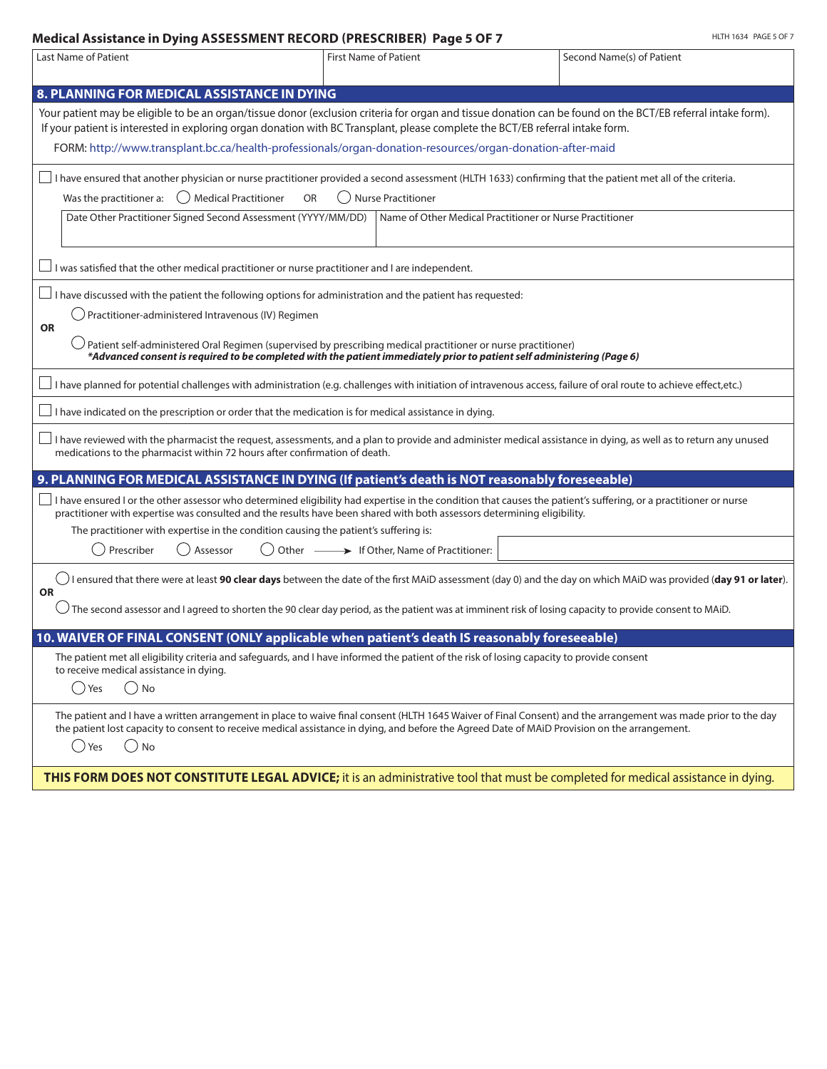#### **Medical Assistance in Dying ASSESSMENT RECORD (PRESCRIBER) Page 5 OF 7**

| Last Name of Patient                                                                                                                                                                                                                                                                                                                                                                | <b>First Name of Patient</b>                                                                                                                                                                                                             | Second Name(s) of Patient |  |  |  |  |  |
|-------------------------------------------------------------------------------------------------------------------------------------------------------------------------------------------------------------------------------------------------------------------------------------------------------------------------------------------------------------------------------------|------------------------------------------------------------------------------------------------------------------------------------------------------------------------------------------------------------------------------------------|---------------------------|--|--|--|--|--|
|                                                                                                                                                                                                                                                                                                                                                                                     |                                                                                                                                                                                                                                          |                           |  |  |  |  |  |
| 8. PLANNING FOR MEDICAL ASSISTANCE IN DYING                                                                                                                                                                                                                                                                                                                                         |                                                                                                                                                                                                                                          |                           |  |  |  |  |  |
| Your patient may be eligible to be an organ/tissue donor (exclusion criteria for organ and tissue donation can be found on the BCT/EB referral intake form).<br>If your patient is interested in exploring organ donation with BC Transplant, please complete the BCT/EB referral intake form.                                                                                      |                                                                                                                                                                                                                                          |                           |  |  |  |  |  |
| FORM: http://www.transplant.bc.ca/health-professionals/organ-donation-resources/organ-donation-after-maid                                                                                                                                                                                                                                                                           |                                                                                                                                                                                                                                          |                           |  |  |  |  |  |
| $\Box$ I have ensured that another physician or nurse practitioner provided a second assessment (HLTH 1633) confirming that the patient met all of the criteria.<br>Was the practitioner a:<br>◯ Medical Practitioner<br>OR<br>Nurse Practitioner                                                                                                                                   |                                                                                                                                                                                                                                          |                           |  |  |  |  |  |
| Date Other Practitioner Signed Second Assessment (YYYY/MM/DD)                                                                                                                                                                                                                                                                                                                       | Name of Other Medical Practitioner or Nurse Practitioner                                                                                                                                                                                 |                           |  |  |  |  |  |
| I was satisfied that the other medical practitioner or nurse practitioner and I are independent.                                                                                                                                                                                                                                                                                    |                                                                                                                                                                                                                                          |                           |  |  |  |  |  |
| I have discussed with the patient the following options for administration and the patient has requested:                                                                                                                                                                                                                                                                           |                                                                                                                                                                                                                                          |                           |  |  |  |  |  |
| Practitioner-administered Intravenous (IV) Regimen<br><b>OR</b>                                                                                                                                                                                                                                                                                                                     |                                                                                                                                                                                                                                          |                           |  |  |  |  |  |
|                                                                                                                                                                                                                                                                                                                                                                                     | Patient self-administered Oral Regimen (supervised by prescribing medical practitioner or nurse practitioner)<br>*Advanced consent is required to be completed with the patient immediately prior to patient self administering (Page 6) |                           |  |  |  |  |  |
| I have planned for potential challenges with administration (e.g. challenges with initiation of intravenous access, failure of oral route to achieve effect,etc.)                                                                                                                                                                                                                   |                                                                                                                                                                                                                                          |                           |  |  |  |  |  |
| I have indicated on the prescription or order that the medication is for medical assistance in dying.                                                                                                                                                                                                                                                                               |                                                                                                                                                                                                                                          |                           |  |  |  |  |  |
| I have reviewed with the pharmacist the request, assessments, and a plan to provide and administer medical assistance in dying, as well as to return any unused المساء I have reviewed with the pharmacist the request, asses<br>medications to the pharmacist within 72 hours after confirmation of death.                                                                         |                                                                                                                                                                                                                                          |                           |  |  |  |  |  |
| 9. PLANNING FOR MEDICAL ASSISTANCE IN DYING (If patient's death is NOT reasonably foreseeable)                                                                                                                                                                                                                                                                                      |                                                                                                                                                                                                                                          |                           |  |  |  |  |  |
| I have ensured I or the other assessor who determined eligibility had expertise in the condition that causes the patient's suffering, or a practitioner or nurse<br>practitioner with expertise was consulted and the results have been shared with both assessors determining eligibility.<br>The practitioner with expertise in the condition causing the patient's suffering is: |                                                                                                                                                                                                                                          |                           |  |  |  |  |  |
| Prescriber<br>Assessor                                                                                                                                                                                                                                                                                                                                                              | Other - If Other, Name of Practitioner:                                                                                                                                                                                                  |                           |  |  |  |  |  |
| $\bigcirc$ I ensured that there were at least 90 clear days between the date of the first MAiD assessment (day 0) and the day on which MAiD was provided (day 91 or later).<br><b>OR</b>                                                                                                                                                                                            |                                                                                                                                                                                                                                          |                           |  |  |  |  |  |
| $\bigcirc$ The second assessor and I agreed to shorten the 90 clear day period, as the patient was at imminent risk of losing capacity to provide consent to MAiD.                                                                                                                                                                                                                  |                                                                                                                                                                                                                                          |                           |  |  |  |  |  |
| 10. WAIVER OF FINAL CONSENT (ONLY applicable when patient's death IS reasonably foreseeable)                                                                                                                                                                                                                                                                                        |                                                                                                                                                                                                                                          |                           |  |  |  |  |  |
| The patient met all eligibility criteria and safeguards, and I have informed the patient of the risk of losing capacity to provide consent<br>to receive medical assistance in dying.                                                                                                                                                                                               |                                                                                                                                                                                                                                          |                           |  |  |  |  |  |
| $\bigcirc$ No<br>$\left( \begin{array}{c} 1 \end{array} \right)$<br>Yes                                                                                                                                                                                                                                                                                                             |                                                                                                                                                                                                                                          |                           |  |  |  |  |  |
| The patient and I have a written arrangement in place to waive final consent (HLTH 1645 Waiver of Final Consent) and the arrangement was made prior to the day<br>the patient lost capacity to consent to receive medical assistance in dying, and before the Agreed Date of MAiD Provision on the arrangement.<br>( )No<br>()<br>Yes                                               |                                                                                                                                                                                                                                          |                           |  |  |  |  |  |
| THIS FORM DOES NOT CONSTITUTE LEGAL ADVICE; it is an administrative tool that must be completed for medical assistance in dying.                                                                                                                                                                                                                                                    |                                                                                                                                                                                                                                          |                           |  |  |  |  |  |

HLTH 1634 PAGE 5 OF 7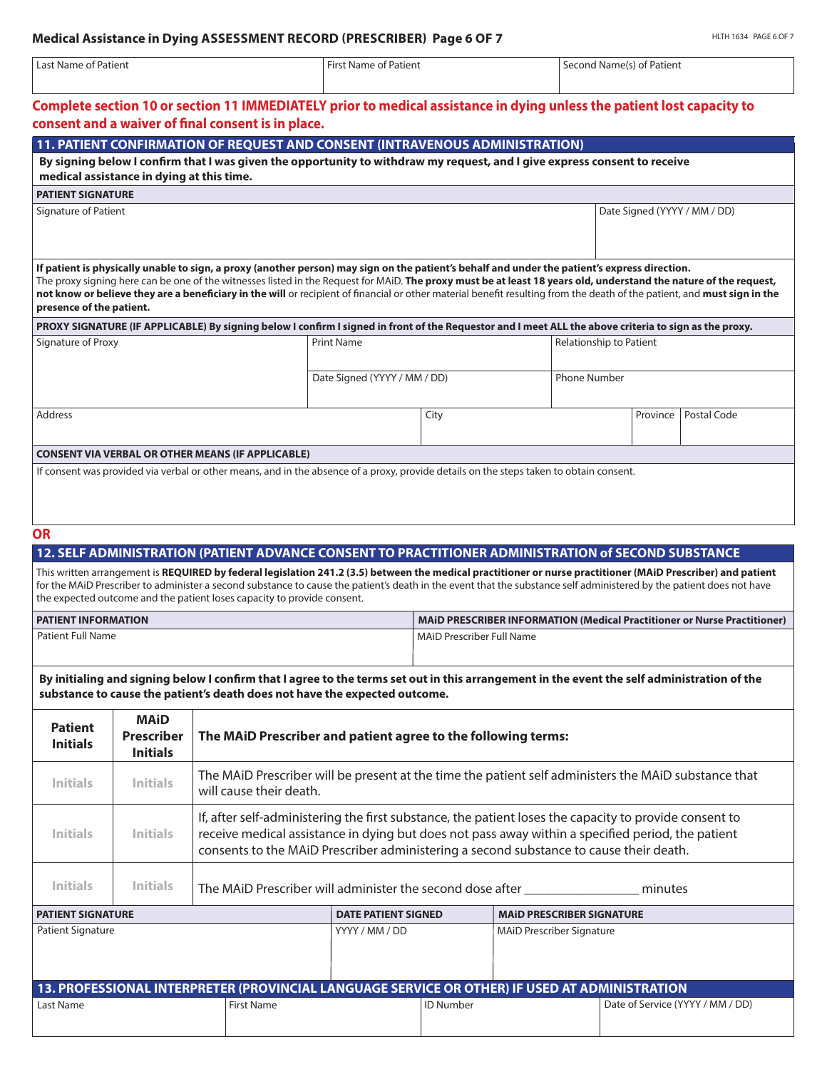| Last Name of Patient                                 |                                                     |                                                                         | <b>First Name of Patient</b>                                                                                                                                                                                                                                                                                                                                                                                                                                                                   |                           | Second Name(s) of Patient        |          |                                                                                 |
|------------------------------------------------------|-----------------------------------------------------|-------------------------------------------------------------------------|------------------------------------------------------------------------------------------------------------------------------------------------------------------------------------------------------------------------------------------------------------------------------------------------------------------------------------------------------------------------------------------------------------------------------------------------------------------------------------------------|---------------------------|----------------------------------|----------|---------------------------------------------------------------------------------|
|                                                      |                                                     | consent and a waiver of final consent is in place.                      | Complete section 10 or section 11 IMMEDIATELY prior to medical assistance in dying unless the patient lost capacity to                                                                                                                                                                                                                                                                                                                                                                         |                           |                                  |          |                                                                                 |
|                                                      |                                                     |                                                                         | 11. PATIENT CONFIRMATION OF REQUEST AND CONSENT (INTRAVENOUS ADMINISTRATION)                                                                                                                                                                                                                                                                                                                                                                                                                   |                           |                                  |          |                                                                                 |
|                                                      | medical assistance in dying at this time.           |                                                                         | By signing below I confirm that I was given the opportunity to withdraw my request, and I give express consent to receive                                                                                                                                                                                                                                                                                                                                                                      |                           |                                  |          |                                                                                 |
| <b>PATIENT SIGNATURE</b>                             |                                                     |                                                                         |                                                                                                                                                                                                                                                                                                                                                                                                                                                                                                |                           |                                  |          |                                                                                 |
| Signature of Patient                                 |                                                     |                                                                         |                                                                                                                                                                                                                                                                                                                                                                                                                                                                                                |                           |                                  |          | Date Signed (YYYY / MM / DD)                                                    |
| presence of the patient.                             |                                                     |                                                                         | If patient is physically unable to sign, a proxy (another person) may sign on the patient's behalf and under the patient's express direction.<br>The proxy signing here can be one of the witnesses listed in the Request for MAiD. The proxy must be at least 18 years old, understand the nature of the request,<br>not know or believe they are a beneficiary in the will or recipient of financial or other material benefit resulting from the death of the patient, and must sign in the |                           |                                  |          |                                                                                 |
|                                                      |                                                     |                                                                         | PROXY SIGNATURE (IF APPLICABLE) By signing below I confirm I signed in front of the Requestor and I meet ALL the above criteria to sign as the proxy.                                                                                                                                                                                                                                                                                                                                          |                           |                                  |          |                                                                                 |
| Signature of Proxy                                   |                                                     |                                                                         | <b>Print Name</b>                                                                                                                                                                                                                                                                                                                                                                                                                                                                              |                           | <b>Relationship to Patient</b>   |          |                                                                                 |
|                                                      |                                                     |                                                                         | Date Signed (YYYY / MM / DD)                                                                                                                                                                                                                                                                                                                                                                                                                                                                   |                           | <b>Phone Number</b>              |          |                                                                                 |
| <b>Address</b>                                       |                                                     |                                                                         | City                                                                                                                                                                                                                                                                                                                                                                                                                                                                                           |                           |                                  | Province | Postal Code                                                                     |
|                                                      |                                                     |                                                                         |                                                                                                                                                                                                                                                                                                                                                                                                                                                                                                |                           |                                  |          |                                                                                 |
|                                                      |                                                     |                                                                         |                                                                                                                                                                                                                                                                                                                                                                                                                                                                                                |                           |                                  |          |                                                                                 |
|                                                      |                                                     |                                                                         | 12. SELF ADMINISTRATION (PATIENT ADVANCE CONSENT TO PRACTITIONER ADMINISTRATION of SECOND SUBSTANCE<br>This written arrangement is REQUIRED by federal legislation 241.2 (3.5) between the medical practitioner or nurse practitioner (MAiD Prescriber) and patient<br>for the MAiD Prescriber to administer a second substance to cause the patient's death in the event that the substance self administered by the patient does not have                                                    |                           |                                  |          |                                                                                 |
| <b>OR</b>                                            |                                                     | the expected outcome and the patient loses capacity to provide consent. |                                                                                                                                                                                                                                                                                                                                                                                                                                                                                                |                           |                                  |          |                                                                                 |
|                                                      |                                                     |                                                                         |                                                                                                                                                                                                                                                                                                                                                                                                                                                                                                | MAID Prescriber Full Name |                                  |          |                                                                                 |
| <b>PATIENT INFORMATION</b><br>Patient Full Name      |                                                     |                                                                         | By initialing and signing below I confirm that I agree to the terms set out in this arrangement in the event the self administration of the                                                                                                                                                                                                                                                                                                                                                    |                           |                                  |          |                                                                                 |
| <b>Patient</b><br><b>Initials</b>                    | <b>MAiD</b><br><b>Prescriber</b><br><b>Initials</b> |                                                                         | substance to cause the patient's death does not have the expected outcome.<br>The MAID Prescriber and patient agree to the following terms:                                                                                                                                                                                                                                                                                                                                                    |                           |                                  |          |                                                                                 |
| <b>Initials</b>                                      | <b>Initials</b>                                     | will cause their death.                                                 | The MAID Prescriber will be present at the time the patient self administers the MAID substance that                                                                                                                                                                                                                                                                                                                                                                                           |                           |                                  |          |                                                                                 |
| <b>Initials</b>                                      | <b>Initials</b>                                     |                                                                         | If, after self-administering the first substance, the patient loses the capacity to provide consent to<br>receive medical assistance in dying but does not pass away within a specified period, the patient<br>consents to the MAID Prescriber administering a second substance to cause their death.                                                                                                                                                                                          |                           |                                  |          |                                                                                 |
| <b>Initials</b>                                      | <b>Initials</b>                                     |                                                                         | The MAID Prescriber will administer the second dose after ______________________                                                                                                                                                                                                                                                                                                                                                                                                               |                           |                                  | minutes  | <b>MAID PRESCRIBER INFORMATION (Medical Practitioner or Nurse Practitioner)</b> |
|                                                      |                                                     |                                                                         | <b>DATE PATIENT SIGNED</b>                                                                                                                                                                                                                                                                                                                                                                                                                                                                     |                           | <b>MAID PRESCRIBER SIGNATURE</b> |          |                                                                                 |
| <b>PATIENT SIGNATURE</b><br><b>Patient Signature</b> |                                                     |                                                                         | YYYY / MM / DD                                                                                                                                                                                                                                                                                                                                                                                                                                                                                 |                           | MAID Prescriber Signature        |          |                                                                                 |

| 13. PROFESSIONAL INTERPRETER (PROVINCIAL LANGUAGE SERVICE OR OTHER) IF USED AT ADMINISTRATION |            |                  |                                  |  |  |  |
|-----------------------------------------------------------------------------------------------|------------|------------------|----------------------------------|--|--|--|
| Last Name                                                                                     | First Name | <b>ID Number</b> | Date of Service (YYYY / MM / DD) |  |  |  |
|                                                                                               |            |                  |                                  |  |  |  |